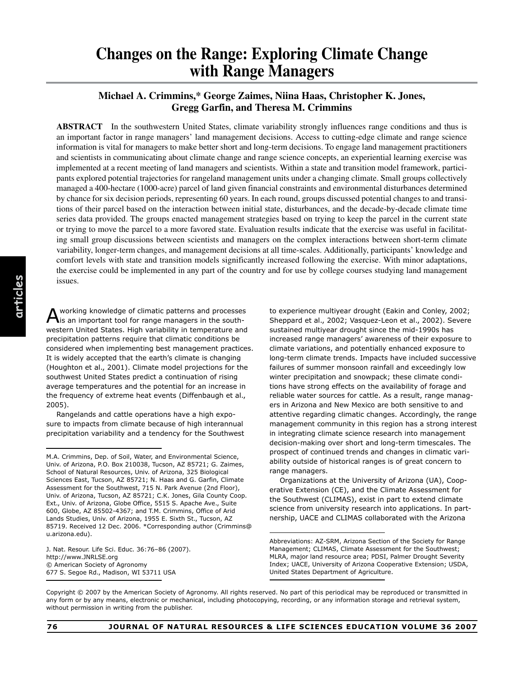**Michael A. Crimmins,\* George Zaimes, Niina Haas, Christopher K. Jones, Gregg Garfin, and Theresa M. Crimmins**

**ABSTRACT** In the southwestern United States, climate variability strongly influences range conditions and thus is an important factor in range managers' land management decisions. Access to cutting-edge climate and range science information is vital for managers to make better short and long-term decisions. To engage land management practitioners and scientists in communicating about climate change and range science concepts, an experiential learning exercise was implemented at a recent meeting of land managers and scientists. Within a state and transition model framework, participants explored potential trajectories for rangeland management units under a changing climate. Small groups collectively managed a 400-hectare (1000-acre) parcel of land given financial constraints and environmental disturbances determined by chance for six decision periods, representing 60 years. In each round, groups discussed potential changes to and transitions of their parcel based on the interaction between initial state, disturbances, and the decade-by-decade climate time series data provided. The groups enacted management strategies based on trying to keep the parcel in the current state or trying to move the parcel to a more favored state. Evaluation results indicate that the exercise was useful in facilitating small group discussions between scientists and managers on the complex interactions between short-term climate variability, longer-term changes, and management decisions at all time-scales. Additionally, participants' knowledge and comfort levels with state and transition models significantly increased following the exercise. With minor adaptations, the exercise could be implemented in any part of the country and for use by college courses studying land management issues.

A working knowledge of climatic patterns and processes is an important tool for range managers in the southwestern United States. High variability in temperature and precipitation patterns require that climatic conditions be considered when implementing best management practices. It is widely accepted that the earth's climate is changing (Houghton et al., 2001). Climate model projections for the southwest United States predict a continuation of rising average temperatures and the potential for an increase in the frequency of extreme heat events (Diffenbaugh et al., 2005).

Rangelands and cattle operations have a high exposure to impacts from climate because of high interannual precipitation variability and a tendency for the Southwest

J. Nat. Resour. Life Sci. Educ. 36:76–86 (2007). http://www.JNRLSE.org © American Society of Agronomy 677 S. Segoe Rd., Madison, WI 53711 USA

to experience multiyear drought (Eakin and Conley, 2002; Sheppard et al., 2002; Vasquez-Leon et al., 2002). Severe sustained multiyear drought since the mid-1990s has increased range managers' awareness of their exposure to climate variations, and potentially enhanced exposure to long-term climate trends. Impacts have included successive failures of summer monsoon rainfall and exceedingly low winter precipitation and snowpack; these climate conditions have strong effects on the availability of forage and reliable water sources for cattle. As a result, range managers in Arizona and New Mexico are both sensitive to and attentive regarding climatic changes. Accordingly, the range management community in this region has a strong interest in integrating climate science research into management decision-making over short and long-term timescales. The prospect of continued trends and changes in climatic variability outside of historical ranges is of great concern to range managers.

Organizations at the University of Arizona (UA), Cooperative Extension (CE), and the Climate Assessment for the Southwest (CLIMAS), exist in part to extend climate science from university research into applications. In partnership, UACE and CLIMAS collaborated with the Arizona

Copyright © 2007 by the American Society of Agronomy. All rights reserved. No part of this periodical may be reproduced or transmitted in any form or by any means, electronic or mechanical, including photocopying, recording, or any information storage and retrieval system, without permission in writing from the publisher.

M.A. Crimmins, Dep. of Soil, Water, and Environmental Science, Univ. of Arizona, P.O. Box 210038, Tucson, AZ 85721; G. Zaimes, School of Natural Resources, Univ. of Arizona, 325 Biological Sciences East, Tucson, AZ 85721; N. Haas and G. Garfin, Climate Assessment for the Southwest, 715 N. Park Avenue (2nd Floor), Univ. of Arizona, Tucson, AZ 85721; C.K. Jones, Gila County Coop. Ext., Univ. of Arizona, Globe Office, 5515 S. Apache Ave., Suite 600, Globe, AZ 85502-4367; and T.M. Crimmins, Office of Arid Lands Studies, Univ. of Arizona, 1955 E. Sixth St., Tucson, AZ 85719. Received 12 Dec. 2006. \*Corresponding author (Crimmins@ u.arizona.edu).

Abbreviations: AZ-SRM, Arizona Section of the Society for Range Management; CLIMAS, Climate Assessment for the Southwest; MLRA, major land resource area; PDSI, Palmer Drought Severity Index; UACE, University of Arizona Cooperative Extension; USDA, United States Department of Agriculture.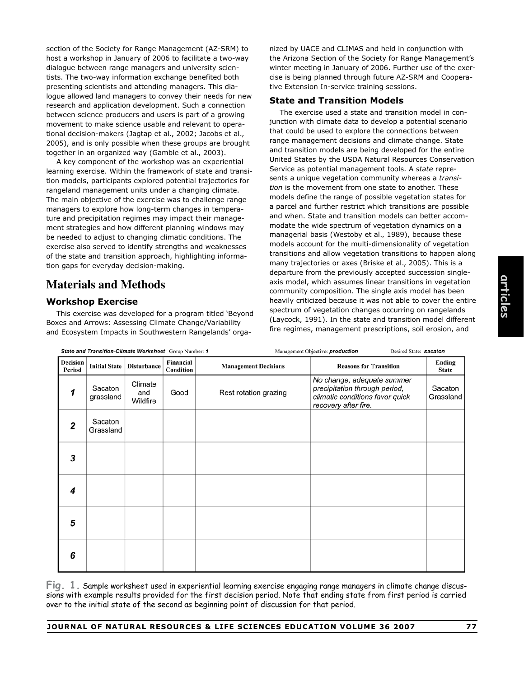section of the Society for Range Management (AZ-SRM) to host a workshop in January of 2006 to facilitate a two-way dialogue between range managers and university scientists. The two-way information exchange benefited both presenting scientists and attending managers. This dialogue allowed land managers to convey their needs for new research and application development. Such a connection between science producers and users is part of a growing movement to make science usable and relevant to operational decision-makers (Jagtap et al., 2002; Jacobs et al., 2005), and is only possible when these groups are brought together in an organized way (Gamble et al., 2003).

A key component of the workshop was an experiential learning exercise. Within the framework of state and transition models, participants explored potential trajectories for rangeland management units under a changing climate. The main objective of the exercise was to challenge range managers to explore how long-term changes in temperature and precipitation regimes may impact their management strategies and how different planning windows may be needed to adjust to changing climatic conditions. The exercise also served to identify strengths and weaknesses of the state and transition approach, highlighting information gaps for everyday decision-making.

# **Materials and Methods**

### **Workshop Exercise**

This exercise was developed for a program titled 'Beyond Boxes and Arrows: Assessing Climate Change/Variability and Ecosystem Impacts in Southwestern Rangelands' organized by UACE and CLIMAS and held in conjunction with the Arizona Section of the Society for Range Management's winter meeting in January of 2006. Further use of the exercise is being planned through future AZ-SRM and Cooperative Extension In-service training sessions.

#### **State and Transition Models**

The exercise used a state and transition model in conjunction with climate data to develop a potential scenario that could be used to explore the connections between range management decisions and climate change. State and transition models are being developed for the entire United States by the USDA Natural Resources Conservation Service as potential management tools. A *state* represents a unique vegetation community whereas a *transition* is the movement from one state to another. These models define the range of possible vegetation states for a parcel and further restrict which transitions are possible and when. State and transition models can better accommodate the wide spectrum of vegetation dynamics on a managerial basis (Westoby et al., 1989), because these models account for the multi-dimensionality of vegetation transitions and allow vegetation transitions to happen along many trajectories or axes (Briske et al., 2005). This is a departure from the previously accepted succession singleaxis model, which assumes linear transitions in vegetation community composition. The single axis model has been heavily criticized because it was not able to cover the entire spectrum of vegetation changes occurring on rangelands (Laycock, 1991). In the state and transition model different fire regimes, management prescriptions, soil erosion, and

| State and Transition-Climate Worksheet Group Number: 1 |                      |                            |                        |                             | Management Objective: production<br>Desired State: sacaton                                                             |                        |  |
|--------------------------------------------------------|----------------------|----------------------------|------------------------|-----------------------------|------------------------------------------------------------------------------------------------------------------------|------------------------|--|
| Decision<br>Period                                     | <b>Initial State</b> | <b>Disturbance</b>         | Financial<br>Condition | <b>Management Decisions</b> | <b>Reasons for Transition</b>                                                                                          | Ending<br><b>State</b> |  |
| 1                                                      | Sacaton<br>grassland | Climate<br>and<br>Wildfire | Good                   | Rest rotation grazing       | No change; adequate summer<br>precipitation through period,<br>climatic conditions favor quick<br>recovery after fire. | Sacaton<br>Grassland   |  |
| 2                                                      | Sacaton<br>Grassland |                            |                        |                             |                                                                                                                        |                        |  |
| 3                                                      |                      |                            |                        |                             |                                                                                                                        |                        |  |
| 4                                                      |                      |                            |                        |                             |                                                                                                                        |                        |  |
| 5                                                      |                      |                            |                        |                             |                                                                                                                        |                        |  |
| 6                                                      |                      |                            |                        |                             |                                                                                                                        |                        |  |

**Fig. 1.** Sample worksheet used in experiential learning exercise engaging range managers in climate change discussions with example results provided for the first decision period. Note that ending state from first period is carried over to the initial state of the second as beginning point of discussion for that period.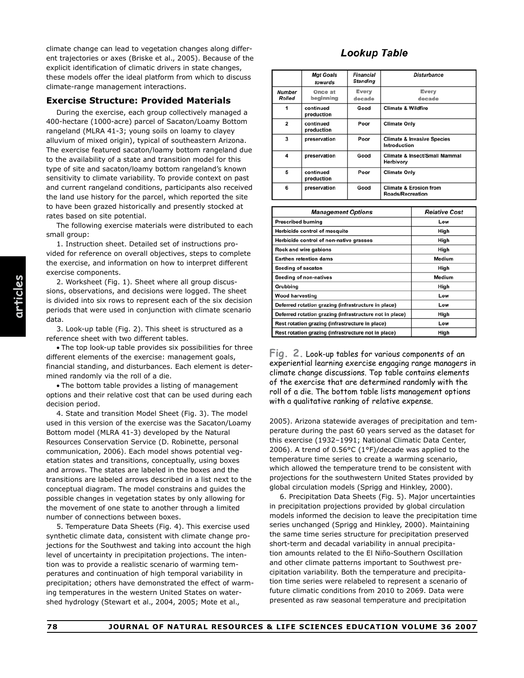climate change can lead to vegetation changes along different trajectories or axes (Briske et al., 2005). Because of the explicit identification of climatic drivers in state changes, these models offer the ideal platform from which to discuss climate-range management interactions.

#### **Exercise Structure: Provided Materials**

During the exercise, each group collectively managed a 400-hectare (1000-acre) parcel of Sacaton/Loamy Bottom rangeland (MLRA 41-3; young soils on loamy to clayey alluvium of mixed origin), typical of southeastern Arizona. The exercise featured sacaton/loamy bottom rangeland due to the availability of a state and transition model for this type of site and sacaton/loamy bottom rangeland's known sensitivity to climate variability. To provide context on past and current rangeland conditions, participants also received the land use history for the parcel, which reported the site to have been grazed historically and presently stocked at rates based on site potential.

The following exercise materials were distributed to each small group:

1. Instruction sheet. Detailed set of instructions provided for reference on overall objectives, steps to complete the exercise, and information on how to interpret different exercise components.

2. Worksheet (Fig. 1). Sheet where all group discussions, observations, and decisions were logged. The sheet is divided into six rows to represent each of the six decision periods that were used in conjunction with climate scenario data.

3. Look-up table (Fig. 2). This sheet is structured as a reference sheet with two different tables.

• The top look-up table provides six possibilities for three different elements of the exercise: management goals, financial standing, and disturbances. Each element is determined randomly via the roll of a die.

• The bottom table provides a listing of management options and their relative cost that can be used during each decision period.

4. State and transition Model Sheet (Fig. 3). The model used in this version of the exercise was the Sacaton/Loamy Bottom model (MLRA 41-3) developed by the Natural Resources Conservation Service (D. Robinette, personal communication, 2006). Each model shows potential vegetation states and transitions, conceptually, using boxes and arrows. The states are labeled in the boxes and the transitions are labeled arrows described in a list next to the conceptual diagram. The model constrains and guides the possible changes in vegetation states by only allowing for the movement of one state to another through a limited number of connections between boxes.

5. Temperature Data Sheets (Fig. 4). This exercise used synthetic climate data, consistent with climate change projections for the Southwest and taking into account the high level of uncertainty in precipitation projections. The intention was to provide a realistic scenario of warming temperatures and continuation of high temporal variability in precipitation; others have demonstrated the effect of warming temperatures in the western United States on watershed hydrology (Stewart et al., 2004, 2005; Mote et al.,

## **Lookup Table**

|                         | <b>Mgt Goals</b><br>towards | Financial<br><b>Standing</b> | <b>Disturbance</b>                                           |
|-------------------------|-----------------------------|------------------------------|--------------------------------------------------------------|
| <b>Number</b><br>Rolled | Once at<br>beginning        | <b>Every</b><br>decade       | Every<br>decade                                              |
|                         | continued<br>production     | Good                         | <b>Climate &amp; Wildfire</b>                                |
| $\overline{2}$          | continued<br>production     | Poor                         | <b>Climate Only</b>                                          |
| 3                       | preservation                | Poor                         | <b>Climate &amp; Invasive Species</b><br>Introduction        |
| 4                       | preservation                | Good                         | Climate & Insect/Small Mammal<br>Herbivory                   |
| 5                       | continued<br>production     | Poor                         | <b>Climate Only</b>                                          |
| 6                       | preservation                | Good                         | <b>Climate &amp; Erosion from</b><br><b>Roads/Recreation</b> |

| <b>Management Options</b>                               | <b>Relative Cost</b> |
|---------------------------------------------------------|----------------------|
| <b>Prescribed burning</b>                               | Low                  |
| Herbicide control of mesquite                           | High                 |
| Herbicide control of non-native grasses                 | High                 |
| Rock and wire gabions                                   | High                 |
| <b>Earthen retention dams</b>                           | Medium               |
| Seeding of sacaton                                      | High                 |
| Seeding of non-natives                                  | Medium               |
| Grubbing                                                | High                 |
| <b>Wood harvesting</b>                                  | Low                  |
| Deferred rotation grazing (infrastructure in place)     | Low                  |
| Deferred rotation grazing (infrastructure not in place) | High                 |
| Rest rotation grazing (infrastructure in place)         | Low                  |
| Rest rotation grazing (infrastructure not in place)     | High                 |

**Fig. 2.** Look-up tables for various components of an experiential learning exercise engaging range managers in climate change discussions. Top table contains elements of the exercise that are determined randomly with the roll of a die. The bottom table lists management options with a qualitative ranking of relative expense.

2005). Arizona statewide averages of precipitation and temperature during the past 60 years served as the dataset for this exercise (1932–1991; National Climatic Data Center, 2006). A trend of 0.56°C (1°F)/decade was applied to the temperature time series to create a warming scenario, which allowed the temperature trend to be consistent with projections for the southwestern United States provided by global circulation models (Sprigg and Hinkley, 2000).

6. Precipitation Data Sheets (Fig. 5). Major uncertainties in precipitation projections provided by global circulation models informed the decision to leave the precipitation time series unchanged (Sprigg and Hinkley, 2000). Maintaining the same time series structure for precipitation preserved short-term and decadal variability in annual precipitation amounts related to the El Niño-Southern Oscillation and other climate patterns important to Southwest precipitation variability. Both the temperature and precipitation time series were relabeled to represent a scenario of future climatic conditions from 2010 to 2069. Data were presented as raw seasonal temperature and precipitation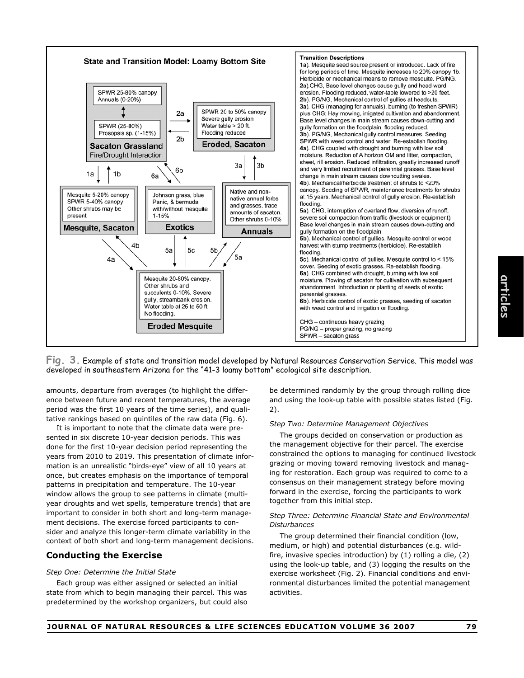



amounts, departure from averages (to highlight the difference between future and recent temperatures, the average period was the first 10 years of the time series), and qualitative rankings based on quintiles of the raw data (Fig. 6).

It is important to note that the climate data were presented in six discrete 10-year decision periods. This was done for the first 10-year decision period representing the years from 2010 to 2019. This presentation of climate information is an unrealistic "birds-eye" view of all 10 years at once, but creates emphasis on the importance of temporal patterns in precipitation and temperature. The 10-year window allows the group to see patterns in climate (multiyear droughts and wet spells, temperature trends) that are important to consider in both short and long-term management decisions. The exercise forced participants to consider and analyze this longer-term climate variability in the context of both short and long-term management decisions.

#### **Conducting the Exercise**

#### *Step One: Determine the Initial State*

Each group was either assigned or selected an initial state from which to begin managing their parcel. This was predetermined by the workshop organizers, but could also

be determined randomly by the group through rolling dice and using the look-up table with possible states listed (Fig. 2).

#### *Step Two: Determine Management Objectives*

The groups decided on conservation or production as the management objective for their parcel. The exercise constrained the options to managing for continued livestock grazing or moving toward removing livestock and managing for restoration. Each group was required to come to a consensus on their management strategy before moving forward in the exercise, forcing the participants to work together from this initial step.

#### *Step Three: Determine Financial State and Environmental Disturbances*

The group determined their financial condition (low, medium, or high) and potential disturbances (e.g. wildfire, invasive species introduction) by (1) rolling a die, (2) using the look-up table, and (3) logging the results on the exercise worksheet (Fig. 2). Financial conditions and environmental disturbances limited the potential management activities.

**articles**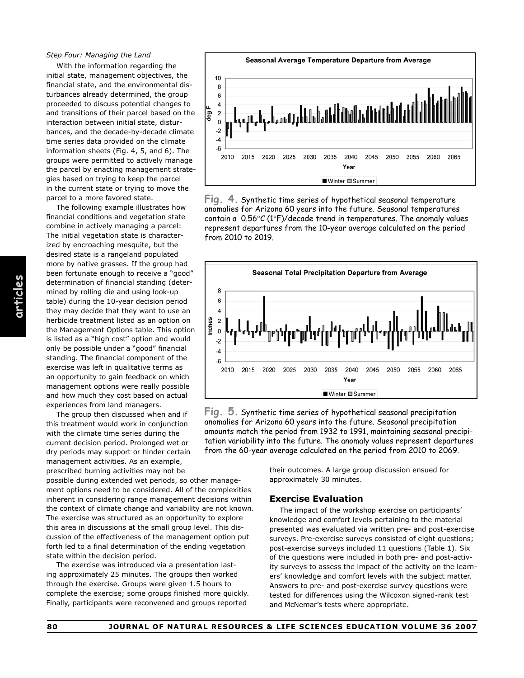#### *Step Four: Managing the Land*

With the information regarding the initial state, management objectives, the financial state, and the environmental disturbances already determined, the group proceeded to discuss potential changes to and transitions of their parcel based on the interaction between initial state, disturbances, and the decade-by-decade climate time series data provided on the climate information sheets (Fig. 4, 5, and 6). The groups were permitted to actively manage the parcel by enacting management strategies based on trying to keep the parcel in the current state or trying to move the parcel to a more favored state.

The following example illustrates how financial conditions and vegetation state combine in actively managing a parcel: The initial vegetation state is characterized by encroaching mesquite, but the desired state is a rangeland populated more by native grasses. If the group had been fortunate enough to receive a "good" determination of financial standing (determined by rolling die and using look-up table) during the 10-year decision period they may decide that they want to use an herbicide treatment listed as an option on the Management Options table. This option is listed as a "high cost" option and would only be possible under a "good" financial standing. The financial component of the exercise was left in qualitative terms as an opportunity to gain feedback on which management options were really possible and how much they cost based on actual experiences from land managers.

The group then discussed when and if this treatment would work in conjunction with the climate time series during the current decision period. Prolonged wet or dry periods may support or hinder certain management activities. As an example, prescribed burning activities may not be

possible during extended wet periods, so other management options need to be considered. All of the complexities inherent in considering range management decisions within the context of climate change and variability are not known. The exercise was structured as an opportunity to explore this area in discussions at the small group level. This discussion of the effectiveness of the management option put forth led to a final determination of the ending vegetation state within the decision period.

The exercise was introduced via a presentation lasting approximately 25 minutes. The groups then worked through the exercise. Groups were given 1.5 hours to complete the exercise; some groups finished more quickly. Finally, participants were reconvened and groups reported



**Fig. 4.** Synthetic time series of hypothetical seasonal temperature anomalies for Arizona 60 years into the future. Seasonal temperatures contain a  $0.56\degree C$  (1 $\degree F$ )/decade trend in temperatures. The anomaly values represent departures from the 10-year average calculated on the period from 2010 to 2019.



**Fig. 5.** Synthetic time series of hypothetical seasonal precipitation anomalies for Arizona 60 years into the future. Seasonal precipitation amounts match the period from 1932 to 1991, maintaining seasonal precipitation variability into the future. The anomaly values represent departures from the 60-year average calculated on the period from 2010 to 2069.

their outcomes. A large group discussion ensued for approximately 30 minutes.

#### **Exercise Evaluation**

The impact of the workshop exercise on participants' knowledge and comfort levels pertaining to the material presented was evaluated via written pre- and post-exercise surveys. Pre-exercise surveys consisted of eight questions; post-exercise surveys included 11 questions (Table 1). Six of the questions were included in both pre- and post-activity surveys to assess the impact of the activity on the learners' knowledge and comfort levels with the subject matter. Answers to pre- and post-exercise survey questions were tested for differences using the Wilcoxon signed-rank test and McNemar's tests where appropriate.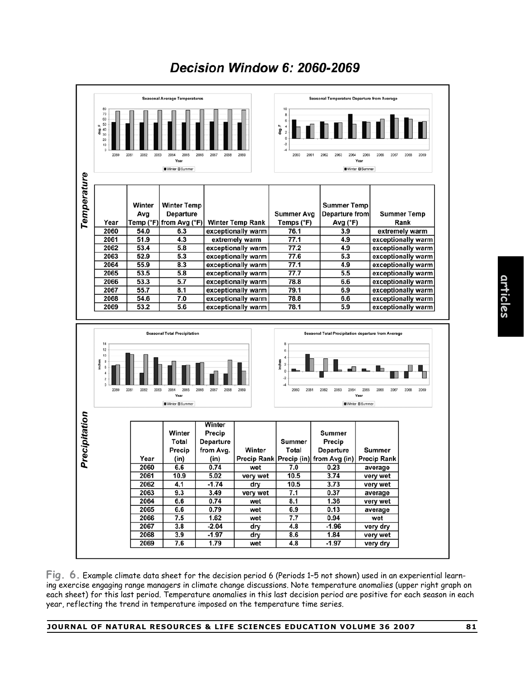

# **Decision Window 6: 2060-2069**

**Fig. 6.** Example climate data sheet for the decision period 6 (Periods 1–5 not shown) used in an experiential learning exercise engaging range managers in climate change discussions. Note temperature anomalies (upper right graph on each sheet) for this last period. Temperature anomalies in this last decision period are positive for each season in each year, reflecting the trend in temperature imposed on the temperature time series.

# **articles**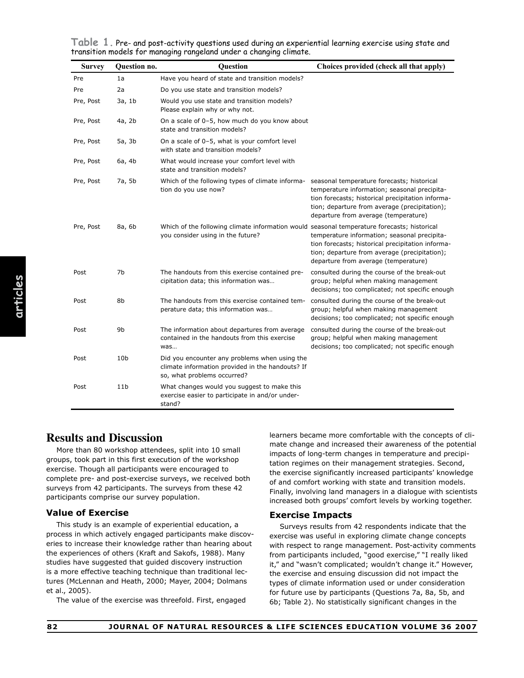**Table 1.** Pre- and post-activity questions used during an experiential learning exercise using state and transition models for managing rangeland under a changing climate.

| <b>Survey</b> | Question no.    | Question                                                                                                                         | Choices provided (check all that apply)                                                                                                                                                    |
|---------------|-----------------|----------------------------------------------------------------------------------------------------------------------------------|--------------------------------------------------------------------------------------------------------------------------------------------------------------------------------------------|
| Pre           | 1a              | Have you heard of state and transition models?                                                                                   |                                                                                                                                                                                            |
| Pre           | 2a              | Do you use state and transition models?                                                                                          |                                                                                                                                                                                            |
| Pre, Post     | 3a, 1b          | Would you use state and transition models?<br>Please explain why or why not.                                                     |                                                                                                                                                                                            |
| Pre, Post     | 4a, 2b          | On a scale of 0-5, how much do you know about<br>state and transition models?                                                    |                                                                                                                                                                                            |
| Pre, Post     | 5a, 3b          | On a scale of 0-5, what is your comfort level<br>with state and transition models?                                               |                                                                                                                                                                                            |
| Pre, Post     | 6a, 4b          | What would increase your comfort level with<br>state and transition models?                                                      |                                                                                                                                                                                            |
| Pre, Post     | 7a, 5b          | Which of the following types of climate informa- seasonal temperature forecasts; historical<br>tion do you use now?              | temperature information; seasonal precipita-<br>tion forecasts; historical precipitation informa-<br>tion; departure from average (precipitation);<br>departure from average (temperature) |
| Pre, Post     | 8a, 6b          | Which of the following climate information would seasonal temperature forecasts; historical<br>you consider using in the future? | temperature information; seasonal precipita-<br>tion forecasts; historical precipitation informa-<br>tion; departure from average (precipitation);<br>departure from average (temperature) |
| Post          | 7b              | The handouts from this exercise contained pre-<br>cipitation data; this information was                                          | consulted during the course of the break-out<br>group; helpful when making management<br>decisions; too complicated; not specific enough                                                   |
| Post          | 8b              | The handouts from this exercise contained tem-<br>perature data; this information was                                            | consulted during the course of the break-out<br>group; helpful when making management<br>decisions; too complicated; not specific enough                                                   |
| Post          | 9b              | The information about departures from average<br>contained in the handouts from this exercise<br>was                             | consulted during the course of the break-out<br>group; helpful when making management<br>decisions; too complicated; not specific enough                                                   |
| Post          | 10 <sub>b</sub> | Did you encounter any problems when using the<br>climate information provided in the handouts? If<br>so, what problems occurred? |                                                                                                                                                                                            |
| Post          | 11 <sub>b</sub> | What changes would you suggest to make this<br>exercise easier to participate in and/or under-<br>stand?                         |                                                                                                                                                                                            |

# **Results and Discussion**

More than 80 workshop attendees, split into 10 small groups, took part in this first execution of the workshop exercise. Though all participants were encouraged to complete pre- and post-exercise surveys, we received both surveys from 42 participants. The surveys from these 42 participants comprise our survey population.

#### **Value of Exercise**

This study is an example of experiential education, a process in which actively engaged participants make discoveries to increase their knowledge rather than hearing about the experiences of others (Kraft and Sakofs, 1988). Many studies have suggested that guided discovery instruction is a more effective teaching technique than traditional lectures (McLennan and Heath, 2000; Mayer, 2004; Dolmans et al., 2005).

The value of the exercise was threefold. First, engaged

learners became more comfortable with the concepts of climate change and increased their awareness of the potential impacts of long-term changes in temperature and precipitation regimes on their management strategies. Second, the exercise significantly increased participants' knowledge of and comfort working with state and transition models. Finally, involving land managers in a dialogue with scientists increased both groups' comfort levels by working together.

#### **Exercise Impacts**

Surveys results from 42 respondents indicate that the exercise was useful in exploring climate change concepts with respect to range management. Post-activity comments from participants included, "good exercise," "I really liked it," and "wasn't complicated; wouldn't change it." However, the exercise and ensuing discussion did not impact the types of climate information used or under consideration for future use by participants (Questions 7a, 8a, 5b, and 6b; Table 2). No statistically significant changes in the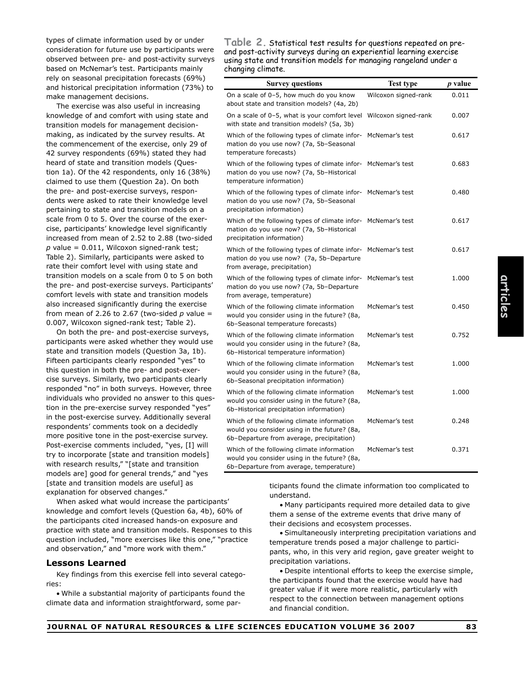types of climate information used by or under consideration for future use by participants were observed between pre- and post-activity surveys based on McNemar's test. Participants mainly rely on seasonal precipitation forecasts (69%) and historical precipitation information (73%) to make management decisions.

The exercise was also useful in increasing knowledge of and comfort with using state and transition models for management decisionmaking, as indicated by the survey results. At the commencement of the exercise, only 29 of 42 survey respondents (69%) stated they had heard of state and transition models (Question 1a). Of the 42 respondents, only 16 (38%) claimed to use them (Question 2a). On both the pre- and post-exercise surveys, respondents were asked to rate their knowledge level pertaining to state and transition models on a scale from 0 to 5. Over the course of the exercise, participants' knowledge level significantly increased from mean of 2.52 to 2.88 (two-sided  $p$  value = 0.011, Wilcoxon signed-rank test; Table 2). Similarly, participants were asked to rate their comfort level with using state and transition models on a scale from 0 to 5 on both the pre- and post-exercise surveys. Participants' comfort levels with state and transition models also increased significantly during the exercise from mean of 2.26 to 2.67 (two-sided  $p$  value = 0.007, Wilcoxon signed-rank test; Table 2).

On both the pre- and post-exercise surveys, participants were asked whether they would use state and transition models (Question 3a, 1b). Fifteen participants clearly responded "yes" to this question in both the pre- and post-exercise surveys. Similarly, two participants clearly responded "no" in both surveys. However, three individuals who provided no answer to this question in the pre-exercise survey responded "yes" in the post-exercise survey. Additionally several respondents' comments took on a decidedly more positive tone in the post-exercise survey. Post-exercise comments included, "yes, [I] will try to incorporate [state and transition models] with research results," "[state and transition models are] good for general trends," and "yes [state and transition models are useful] as explanation for observed changes."

When asked what would increase the participants' knowledge and comfort levels (Question 6a, 4b), 60% of the participants cited increased hands-on exposure and practice with state and transition models. Responses to this question included, "more exercises like this one," "practice and observation," and "more work with them."

#### **Lessons Learned**

Key findings from this exercise fell into several categories:

• While a substantial majority of participants found the climate data and information straightforward, some par-

**Table 2.** Statistical test results for questions repeated on preand post-activity surveys during an experiential learning exercise using state and transition models for managing rangeland under a changing climate.

| <b>Survey questions</b>                                                                                                                   | <b>Test type</b>     | p value |
|-------------------------------------------------------------------------------------------------------------------------------------------|----------------------|---------|
| On a scale of 0-5, how much do you know<br>about state and transition models? (4a, 2b)                                                    | Wilcoxon signed-rank | 0.011   |
| On a scale of 0-5, what is your comfort level<br>with state and transition models? (5a, 3b)                                               | Wilcoxon signed-rank | 0.007   |
| Which of the following types of climate infor-<br>mation do you use now? (7a, 5b-Seasonal<br>temperature forecasts)                       | McNemar's test       | 0.617   |
| Which of the following types of climate infor-<br>mation do you use now? (7a, 5b-Historical<br>temperature information)                   | McNemar's test       | 0.683   |
| Which of the following types of climate infor- McNemar's test<br>mation do you use now? (7a, 5b-Seasonal<br>precipitation information)    |                      | 0.480   |
| Which of the following types of climate infor-<br>mation do you use now? (7a, 5b-Historical<br>precipitation information)                 | McNemar's test       | 0.617   |
| Which of the following types of climate infor- McNemar's test<br>mation do you use now? (7a, 5b-Departure<br>from average, precipitation) |                      | 0.617   |
| Which of the following types of climate infor- McNemar's test<br>mation do you use now? (7a, 5b-Departure<br>from average, temperature)   |                      | 1.000   |
| Which of the following climate information<br>would you consider using in the future? (8a,<br>6b-Seasonal temperature forecasts)          | McNemar's test       | 0.450   |
| Which of the following climate information<br>would you consider using in the future? (8a,<br>6b-Historical temperature information)      | McNemar's test       | 0.752   |
| Which of the following climate information<br>would you consider using in the future? (8a,<br>6b-Seasonal precipitation information)      | McNemar's test       | 1.000   |
| Which of the following climate information<br>would you consider using in the future? (8a,<br>6b-Historical precipitation information)    | McNemar's test       | 1.000   |
| Which of the following climate information<br>would you consider using in the future? (8a,<br>6b-Departure from average, precipitation)   | McNemar's test       | 0.248   |
| Which of the following climate information<br>would you consider using in the future? (8a,<br>6b-Departure from average, temperature)     | McNemar's test       | 0.371   |

ticipants found the climate information too complicated to understand.

• Many participants required more detailed data to give them a sense of the extreme events that drive many of their decisions and ecosystem processes.

• Simultaneously interpreting precipitation variations and temperature trends posed a major challenge to participants, who, in this very arid region, gave greater weight to precipitation variations.

• Despite intentional efforts to keep the exercise simple, the participants found that the exercise would have had greater value if it were more realistic, particularly with respect to the connection between management options and financial condition.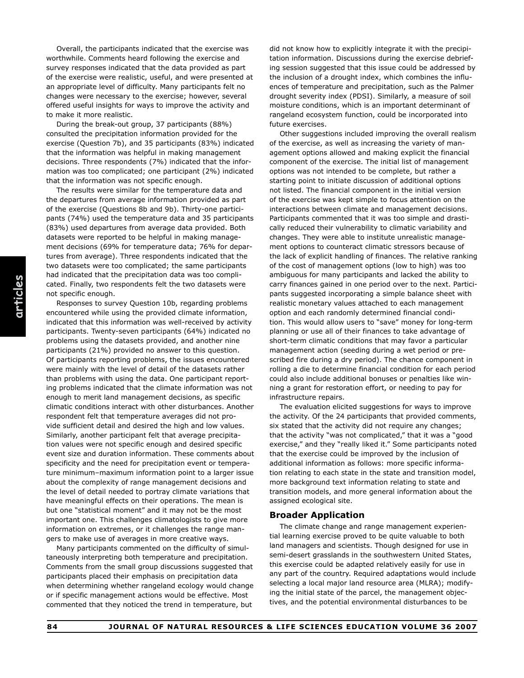Overall, the participants indicated that the exercise was worthwhile. Comments heard following the exercise and survey responses indicated that the data provided as part of the exercise were realistic, useful, and were presented at an appropriate level of difficulty. Many participants felt no changes were necessary to the exercise; however, several offered useful insights for ways to improve the activity and to make it more realistic.

During the break-out group, 37 participants (88%) consulted the precipitation information provided for the exercise (Question 7b), and 35 participants (83%) indicated that the information was helpful in making management decisions. Three respondents (7%) indicated that the information was too complicated; one participant (2%) indicated that the information was not specific enough.

The results were similar for the temperature data and the departures from average information provided as part of the exercise (Questions 8b and 9b). Thirty-one participants (74%) used the temperature data and 35 participants (83%) used departures from average data provided. Both datasets were reported to be helpful in making management decisions (69% for temperature data; 76% for departures from average). Three respondents indicated that the two datasets were too complicated; the same participants had indicated that the precipitation data was too complicated. Finally, two respondents felt the two datasets were not specific enough.

Responses to survey Question 10b, regarding problems encountered while using the provided climate information, indicated that this information was well-received by activity participants. Twenty-seven participants (64%) indicated no problems using the datasets provided, and another nine participants (21%) provided no answer to this question. Of participants reporting problems, the issues encountered were mainly with the level of detail of the datasets rather than problems with using the data. One participant reporting problems indicated that the climate information was not enough to merit land management decisions, as specific climatic conditions interact with other disturbances. Another respondent felt that temperature averages did not provide sufficient detail and desired the high and low values. Similarly, another participant felt that average precipitation values were not specific enough and desired specific event size and duration information. These comments about specificity and the need for precipitation event or temperature minimum–maximum information point to a larger issue about the complexity of range management decisions and the level of detail needed to portray climate variations that have meaningful effects on their operations. The mean is but one "statistical moment" and it may not be the most important one. This challenges climatologists to give more information on extremes, or it challenges the range mangers to make use of averages in more creative ways.

Many participants commented on the difficulty of simultaneously interpreting both temperature and precipitation. Comments from the small group discussions suggested that participants placed their emphasis on precipitation data when determining whether rangeland ecology would change or if specific management actions would be effective. Most commented that they noticed the trend in temperature, but

did not know how to explicitly integrate it with the precipitation information. Discussions during the exercise debriefing session suggested that this issue could be addressed by the inclusion of a drought index, which combines the influences of temperature and precipitation, such as the Palmer drought severity index (PDSI). Similarly, a measure of soil moisture conditions, which is an important determinant of rangeland ecosystem function, could be incorporated into future exercises.

Other suggestions included improving the overall realism of the exercise, as well as increasing the variety of management options allowed and making explicit the financial component of the exercise. The initial list of management options was not intended to be complete, but rather a starting point to initiate discussion of additional options not listed. The financial component in the initial version of the exercise was kept simple to focus attention on the interactions between climate and management decisions. Participants commented that it was too simple and drastically reduced their vulnerability to climatic variability and changes. They were able to institute unrealistic management options to counteract climatic stressors because of the lack of explicit handling of finances. The relative ranking of the cost of management options (low to high) was too ambiguous for many participants and lacked the ability to carry finances gained in one period over to the next. Participants suggested incorporating a simple balance sheet with realistic monetary values attached to each management option and each randomly determined financial condition. This would allow users to "save" money for long-term planning or use all of their finances to take advantage of short-term climatic conditions that may favor a particular management action (seeding during a wet period or prescribed fire during a dry period). The chance component in rolling a die to determine financial condition for each period could also include additional bonuses or penalties like winning a grant for restoration effort, or needing to pay for infrastructure repairs.

The evaluation elicited suggestions for ways to improve the activity. Of the 24 participants that provided comments, six stated that the activity did not require any changes: that the activity "was not complicated," that it was a "good exercise," and they "really liked it." Some participants noted that the exercise could be improved by the inclusion of additional information as follows: more specific information relating to each state in the state and transition model, more background text information relating to state and transition models, and more general information about the assigned ecological site.

#### **Broader Application**

The climate change and range management experiential learning exercise proved to be quite valuable to both land managers and scientists. Though designed for use in semi-desert grasslands in the southwestern United States, this exercise could be adapted relatively easily for use in any part of the country. Required adaptations would include selecting a local major land resource area (MLRA); modifying the initial state of the parcel, the management objectives, and the potential environmental disturbances to be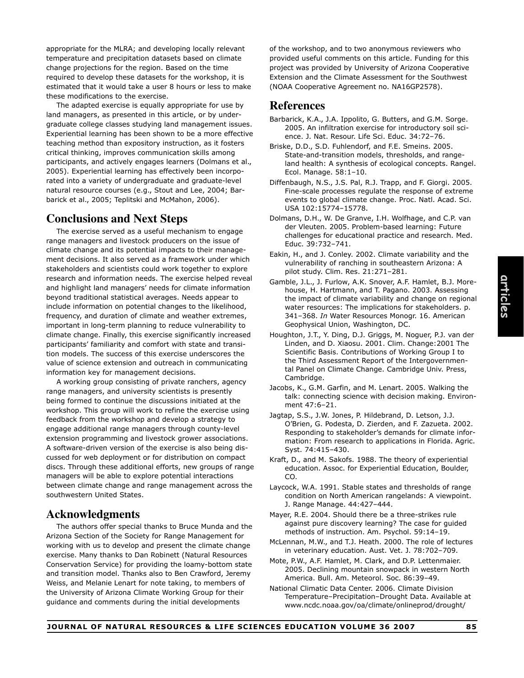temperature and precipitation datasets based on climate change projections for the region. Based on the time required to develop these datasets for the workshop, it is estimated that it would take a user 8 hours or less to make these modifications to the exercise. The adapted exercise is equally appropriate for use by provided useful comments on this article. Funding for this project was provided by University of Arizona Cooperative Extension and the Climate Assessment for the Southwest (NOAA Cooperative Agreement no. NA16GP2578). **References**

land managers, as presented in this article, or by undergraduate college classes studying land management issues. Experiential learning has been shown to be a more effective teaching method than expository instruction, as it fosters critical thinking, improves communication skills among participants, and actively engages learners (Dolmans et al., 2005). Experiential learning has effectively been incorporated into a variety of undergraduate and graduate-level natural resource courses (e.g., Stout and Lee, 2004; Barbarick et al., 2005; Teplitski and McMahon, 2006).

appropriate for the MLRA; and developing locally relevant

# **Conclusions and Next Steps**

The exercise served as a useful mechanism to engage range managers and livestock producers on the issue of climate change and its potential impacts to their management decisions. It also served as a framework under which stakeholders and scientists could work together to explore research and information needs. The exercise helped reveal and highlight land managers' needs for climate information beyond traditional statistical averages. Needs appear to include information on potential changes to the likelihood, frequency, and duration of climate and weather extremes, important in long-term planning to reduce vulnerability to climate change. Finally, this exercise significantly increased participants' familiarity and comfort with state and transition models. The success of this exercise underscores the value of science extension and outreach in communicating information key for management decisions.

A working group consisting of private ranchers, agency range managers, and university scientists is presently being formed to continue the discussions initiated at the workshop. This group will work to refine the exercise using feedback from the workshop and develop a strategy to engage additional range managers through county-level extension programming and livestock grower associations. A software-driven version of the exercise is also being discussed for web deployment or for distribution on compact discs. Through these additional efforts, new groups of range managers will be able to explore potential interactions between climate change and range management across the southwestern United States.

# **Acknowledgments**

The authors offer special thanks to Bruce Munda and the Arizona Section of the Society for Range Management for working with us to develop and present the climate change exercise. Many thanks to Dan Robinett (Natural Resources Conservation Service) for providing the loamy-bottom state and transition model. Thanks also to Ben Crawford, Jeremy Weiss, and Melanie Lenart for note taking, to members of the University of Arizona Climate Working Group for their guidance and comments during the initial developments

Ecol. Manage. 58:1–10. Diffenbaugh, N.S., J.S. Pal, R.J. Trapp, and F. Giorgi. 2005. Fine-scale processes regulate the response of extreme events to global climate change. Proc. Natl. Acad. Sci. USA 102:15774–15778.

of the workshop, and to two anonymous reviewers who

Dolmans, D.H., W. De Granve, I.H. Wolfhage, and C.P. van der Vleuten. 2005. Problem-based learning: Future challenges for educational practice and research. Med. Educ. 39:732–741.

Eakin, H., and J. Conley. 2002. Climate variability and the vulnerability of ranching in southeastern Arizona: A pilot study. Clim. Res. 21:271–281.

- Gamble, J.L., J. Furlow, A.K. Snover, A.F. Hamlet, B.J. Morehouse, H. Hartmann, and T. Pagano. 2003. Assessing the impact of climate variability and change on regional water resources: The implications for stakeholders. p. 341–368. *In* Water Resources Monogr. 16. American Geophysical Union, Washington, DC.
- Houghton, J.T., Y. Ding, D.J. Griggs, M. Noguer, P.J. van der Linden, and D. Xiaosu. 2001. Clim. Change:2001 The Scientific Basis. Contributions of Working Group I to the Third Assessment Report of the Intergovernmental Panel on Climate Change. Cambridge Univ. Press, Cambridge.
- Jacobs, K., G.M. Garfin, and M. Lenart. 2005. Walking the talk: connecting science with decision making. Environment 47:6–21.
- Jagtap, S.S., J.W. Jones, P. Hildebrand, D. Letson, J.J. O'Brien, G. Podesta, D. Zierden, and F. Zazueta. 2002. Responding to stakeholder's demands for climate information: From research to applications in Florida. Agric. Syst. 74:415–430.

Kraft, D., and M. Sakofs. 1988. The theory of experiential education. Assoc. for Experiential Education, Boulder, CO.

Laycock, W.A. 1991. Stable states and thresholds of range condition on North American rangelands: A viewpoint. J. Range Manage. 44:427–444.

Mayer, R.E. 2004. Should there be a three-strikes rule against pure discovery learning? The case for guided methods of instruction. Am. Psychol. 59:14–19.

- McLennan, M.W., and T.J. Heath. 2000. The role of lectures in veterinary education. Aust. Vet. J. 78:702–709.
- Mote, P.W., A.F. Hamlet, M. Clark, and D.P. Lettenmaier. 2005. Declining mountain snowpack in western North America. Bull. Am. Meteorol. Soc. 86:39–49.
- National Climatic Data Center. 2006. Climate Division Temperature–Precipitation–Drought Data. Available at www.ncdc.noaa.gov/oa/climate/onlineprod/drought/